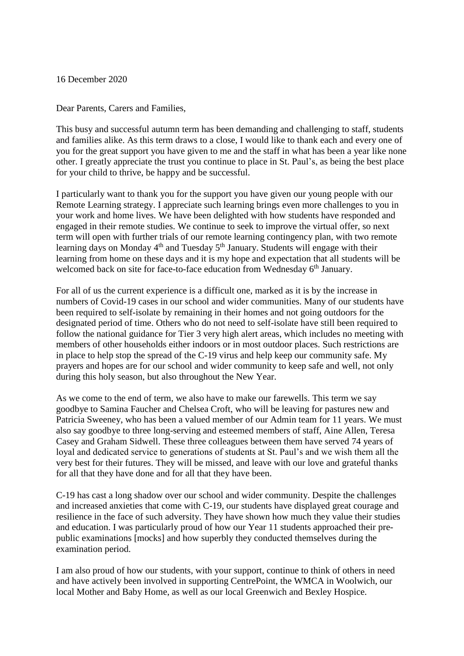16 December 2020

Dear Parents, Carers and Families,

This busy and successful autumn term has been demanding and challenging to staff, students and families alike. As this term draws to a close, I would like to thank each and every one of you for the great support you have given to me and the staff in what has been a year like none other. I greatly appreciate the trust you continue to place in St. Paul's, as being the best place for your child to thrive, be happy and be successful.

I particularly want to thank you for the support you have given our young people with our Remote Learning strategy. I appreciate such learning brings even more challenges to you in your work and home lives. We have been delighted with how students have responded and engaged in their remote studies. We continue to seek to improve the virtual offer, so next term will open with further trials of our remote learning contingency plan, with two remote learning days on Monday 4<sup>th</sup> and Tuesday 5<sup>th</sup> January. Students will engage with their learning from home on these days and it is my hope and expectation that all students will be welcomed back on site for face-to-face education from Wednesday 6<sup>th</sup> January.

For all of us the current experience is a difficult one, marked as it is by the increase in numbers of Covid-19 cases in our school and wider communities. Many of our students have been required to self-isolate by remaining in their homes and not going outdoors for the designated period of time. Others who do not need to self-isolate have still been required to follow the national guidance for Tier 3 very high alert areas, which includes no meeting with members of other households either indoors or in most outdoor places. Such restrictions are in place to help stop the spread of the C-19 virus and help keep our community safe. My prayers and hopes are for our school and wider community to keep safe and well, not only during this holy season, but also throughout the New Year.

As we come to the end of term, we also have to make our farewells. This term we say goodbye to Samina Faucher and Chelsea Croft, who will be leaving for pastures new and Patricia Sweeney, who has been a valued member of our Admin team for 11 years. We must also say goodbye to three long-serving and esteemed members of staff, Aine Allen, Teresa Casey and Graham Sidwell. These three colleagues between them have served 74 years of loyal and dedicated service to generations of students at St. Paul's and we wish them all the very best for their futures. They will be missed, and leave with our love and grateful thanks for all that they have done and for all that they have been.

C-19 has cast a long shadow over our school and wider community. Despite the challenges and increased anxieties that come with C-19, our students have displayed great courage and resilience in the face of such adversity. They have shown how much they value their studies and education. I was particularly proud of how our Year 11 students approached their prepublic examinations [mocks] and how superbly they conducted themselves during the examination period.

I am also proud of how our students, with your support, continue to think of others in need and have actively been involved in supporting CentrePoint, the WMCA in Woolwich, our local Mother and Baby Home, as well as our local Greenwich and Bexley Hospice.